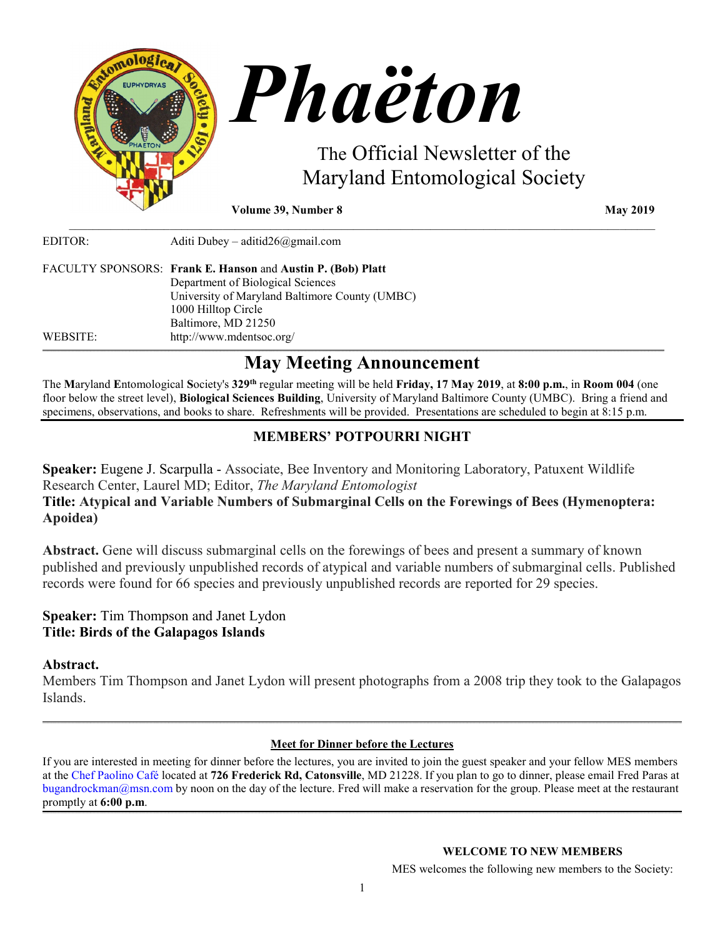

**Volume 39, Number 8 May 2019** 

EDITOR: Aditi Dubey – [aditid26@gmail.com](mailto:aditid26@gmail.com) FACULTY SPONSORS: **Frank E. Hanson** and **Austin P. (Bob) Platt** Department of Biological Sciences University of Maryland Baltimore County (UMBC) 1000 Hilltop Circle Baltimore, MD 21250 WEBSITE: <http://www.mdentsoc.org/>

# **May Meeting Announcement**

\_\_\_\_\_\_\_\_\_\_\_\_\_\_\_\_\_\_\_\_\_\_\_\_\_\_\_\_\_\_\_\_\_\_\_\_\_\_\_\_\_\_\_\_\_\_\_\_\_\_\_\_\_\_\_\_\_\_\_\_\_\_\_\_\_\_\_\_\_\_\_\_\_\_\_\_\_\_\_\_\_\_\_\_\_\_\_\_\_\_\_\_\_\_\_\_\_\_\_

The **M**aryland **E**ntomological **S**ociety's **329th** regular meeting will be held **Friday, 17 May 2019**, at **8:00 p.m.**, in **Room 004** (one floor below the street level), **Biological Sciences Building**, University of Maryland Baltimore County (UMBC). Bring a friend and specimens, observations, and books to share. Refreshments will be provided. Presentations are scheduled to begin at 8:15 p.m.

**\_\_\_\_\_\_\_\_\_\_\_\_\_\_\_\_\_\_\_\_\_\_\_\_\_\_\_\_\_\_\_\_\_\_\_\_\_\_\_\_\_\_\_\_\_\_\_\_\_\_\_\_\_\_\_\_\_\_\_\_\_\_\_\_\_\_\_\_\_\_\_\_\_\_\_\_\_\_\_\_\_\_\_\_\_\_\_\_\_\_\_\_\_\_\_\_\_\_\_\_\_\_\_\_\_\_\_\_\_\_\_\_\_\_\_\_\_\_\_\_\_\_\_\_\_\_\_\_\_\_\_\_\_\_\_\_\_\_\_\_\_\_\_\_\_\_\_\_\_\_\_\_\_\_\_\_\_\_\_\_\_\_\_\_\_\_\_\_\_\_\_\_\_\_\_\_\_\_\_\_\_\_\_\_\_\_\_\_\_\_\_\_\_\_\_\_\_\_\_\_\_\_\_\_\_\_\_\_\_\_\_\_\_\_\_\_\_\_\_\_\_\_\_\_\_\_\_\_\_\_\_\_\_\_\_\_\_\_\_\_\_\_\_\_\_\_\_\_\_\_\_\_\_\_\_\_\_\_\_\_\_\_\_\_\_\_\_\_\_\_\_\_\_\_\_\_\_\_\_\_\_\_\_\_\_\_\_\_\_\_\_\_\_\_\_\_\_\_\_\_\_\_\_\_\_\_\_\_\_\_\_\_\_\_\_\_\_\_\_\_\_\_\_\_\_\_\_\_\_\_\_\_\_\_\_\_\_\_\_\_\_\_\_\_\_\_\_\_\_\_**

# **MEMBERS' POTPOURRI NIGHT**

**Speaker:** Eugene J. Scarpulla - Associate, Bee Inventory and Monitoring Laboratory, Patuxent Wildlife Research Center, Laurel MD; Editor, *The Maryland Entomologist*

## **Title: Atypical and Variable Numbers of Submarginal Cells on the Forewings of Bees (Hymenoptera: Apoidea)**

**Abstract.** Gene will discuss submarginal cells on the forewings of bees and present a summary of known published and previously unpublished records of atypical and variable numbers of submarginal cells. Published records were found for 66 species and previously unpublished records are reported for 29 species.

## **Speaker:** Tim Thompson and Janet Lydon **Title: Birds of the Galapagos Islands**

## **Abstract.**

Members Tim Thompson and Janet Lydon will present photographs from a 2008 trip they took to the Galapagos Islands.

## **\_\_\_\_\_\_\_\_\_\_\_\_\_\_\_\_\_\_\_\_\_\_\_\_\_\_\_\_\_\_\_\_\_\_\_\_\_\_\_\_\_\_\_\_\_\_\_\_\_\_\_\_\_\_\_\_\_\_\_\_\_\_\_\_\_\_\_\_\_\_\_\_\_\_\_\_\_\_\_\_\_\_\_\_\_\_\_\_\_\_\_\_\_\_\_\_\_\_\_\_\_\_\_\_\_\_\_\_\_\_\_\_\_\_\_\_\_\_\_\_\_\_\_\_\_\_\_\_\_\_\_\_\_\_\_\_\_\_\_\_\_\_\_\_\_\_\_\_\_\_\_\_\_\_\_\_\_\_\_\_\_\_\_\_\_\_\_\_\_\_\_\_\_\_\_\_\_\_\_\_\_\_\_\_\_\_\_\_\_\_\_\_\_\_\_\_\_\_\_\_\_\_\_\_\_\_\_\_\_\_\_\_\_\_\_\_\_\_\_\_\_\_\_\_\_\_\_\_\_\_\_\_\_\_\_\_\_\_\_\_\_\_\_\_\_\_\_\_\_\_\_\_\_\_\_\_\_\_\_\_\_\_\_\_\_\_\_\_\_\_\_\_\_\_\_\_\_\_\_\_\_\_\_\_\_\_\_\_\_\_\_\_\_\_\_\_\_\_\_\_\_\_\_\_\_\_\_\_\_\_\_\_\_\_\_\_\_\_\_\_\_\_\_\_\_\_\_\_\_\_\_\_\_\_\_\_\_\_\_\_\_\_\_\_\_\_\_\_\_\_\_\_\_\_\_\_\_\_\_\_ Meet for Dinner before the Lectures**

If you are interested in meeting for dinner before the lectures, you are invited to join the guest speaker and your fellow MES members at the [Chef Paolino Café](https://www.google.com/maps/place/Chef+Paolino+Cafe/@39.2727924,-76.7320191,15z/data=!4m5!3m4!1s0x0:0x5b7140dd2ad4f543!8m2!3d39.2727924!4d-76.7320191) located at **726 Frederick Rd, Catonsville**, MD 21228. If you plan to go to dinner, please email Fred Paras at bugandrockman@msn.com by noon on the day of the lecture. Fred will make a reservation for the group. Please meet at the restaurant promptly at **6:00 p.m**. **\_\_\_\_\_\_\_\_\_\_\_\_\_\_\_\_\_\_\_\_\_\_\_\_\_\_\_\_\_\_\_\_\_\_\_\_\_\_\_\_\_\_\_\_\_\_\_\_\_\_\_\_\_\_\_\_\_\_\_\_\_\_\_\_\_\_\_\_\_\_\_\_\_\_\_\_\_\_\_\_\_\_\_\_\_\_\_\_\_\_\_\_\_\_\_\_\_\_\_\_\_\_\_\_\_\_\_\_\_\_\_\_\_\_\_\_\_\_\_\_\_\_\_\_\_\_\_\_\_\_\_\_\_\_\_\_\_\_\_\_\_\_\_\_\_\_\_\_\_\_\_\_\_\_\_\_\_\_\_\_\_\_\_\_\_\_\_\_\_\_\_\_\_\_\_\_\_\_\_\_\_\_\_\_\_\_\_\_\_\_\_\_\_\_\_\_\_\_\_\_\_\_\_\_\_\_\_\_\_\_\_\_\_\_\_\_\_\_\_\_\_\_\_\_\_\_\_\_\_\_\_\_\_\_\_\_\_\_\_\_\_\_\_\_\_\_\_\_\_\_\_\_\_\_\_\_\_\_\_\_\_\_\_\_\_\_\_\_\_\_\_\_\_\_\_\_\_\_\_\_\_\_\_\_\_\_\_\_\_\_\_\_\_\_\_\_\_\_\_\_\_\_\_\_\_\_\_\_\_\_\_\_\_\_\_\_\_\_\_\_\_\_\_\_\_\_\_\_\_\_\_\_\_\_\_\_\_\_\_\_\_\_\_\_\_\_\_\_\_\_\_\_\_\_\_\_\_\_\_\_**

### **WELCOME TO NEW MEMBERS**

MES welcomes the following new members to the Society: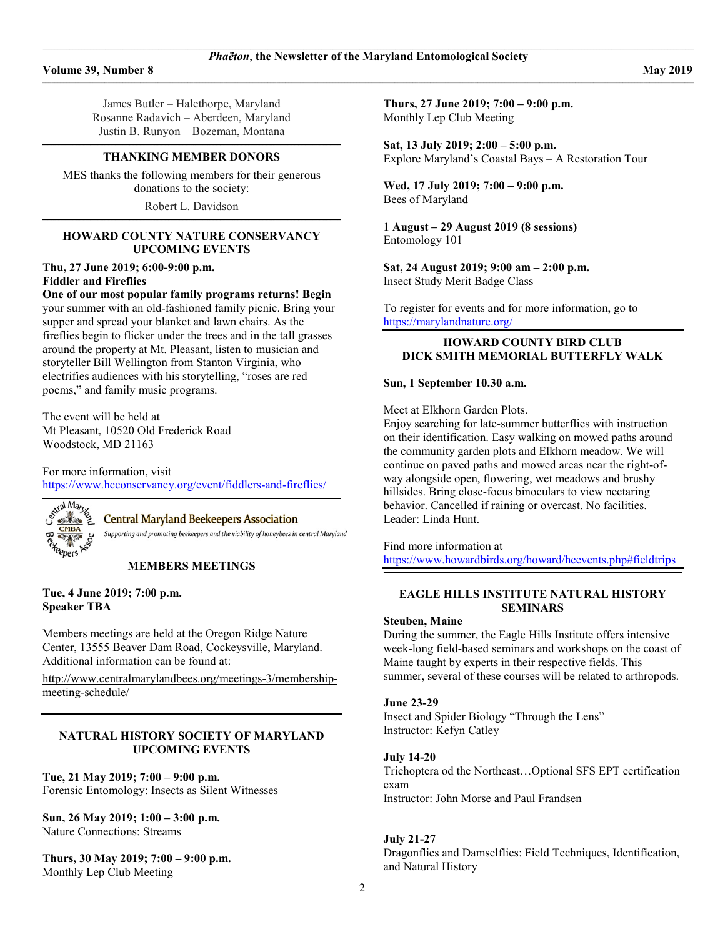James Butler – Halethorpe, Maryland Rosanne Radavich – Aberdeen, Maryland Justin B. Runyon – Bozeman, Montana

#### **\_\_\_\_\_\_\_\_\_\_\_\_\_\_\_\_\_\_\_\_\_\_\_\_\_\_\_\_\_\_\_\_\_\_\_\_\_\_\_\_\_\_\_\_\_\_\_\_\_\_\_\_\_\_\_\_\_\_\_\_\_\_\_\_\_\_\_\_\_\_\_\_\_\_\_\_\_\_\_\_\_\_\_\_\_\_\_\_\_\_\_\_\_\_\_\_\_\_\_\_\_\_\_\_\_\_\_\_\_\_\_\_\_\_\_\_\_\_\_\_\_\_\_\_\_\_\_\_\_\_\_\_\_\_\_\_\_\_\_\_\_\_\_\_\_\_\_\_\_\_\_\_\_\_\_\_\_\_\_\_\_\_\_\_\_\_\_\_ THANKING MEMBER DONORS**

MES thanks the following members for their generous donations to the society: Robert L. Davidson

**\_\_\_\_\_\_\_\_\_\_\_\_\_\_\_\_\_\_\_\_\_\_\_\_\_\_\_\_\_\_\_\_\_\_\_\_\_\_\_\_\_\_\_\_\_\_\_\_\_\_\_\_\_\_\_\_\_\_\_\_\_\_\_\_\_\_\_\_\_\_\_\_\_\_\_\_\_\_\_\_\_\_\_\_\_\_\_\_\_\_\_\_\_\_\_\_\_\_\_\_\_\_\_\_\_\_\_\_\_\_\_\_\_\_\_\_\_\_\_\_\_\_\_\_\_\_\_\_\_\_\_\_\_\_\_\_\_\_\_\_\_\_\_\_\_\_\_\_\_\_\_\_\_\_\_\_\_\_\_\_\_\_\_\_\_\_\_\_**

#### **HOWARD COUNTY NATURE CONSERVANCY UPCOMING EVENTS**

#### **Thu, 27 June 2019; 6:00-9:00 p.m. Fiddler and Fireflies**

#### **One of our most popular family programs returns! Begin**

your summer with an old-fashioned family picnic. Bring your supper and spread your blanket and lawn chairs. As the fireflies begin to flicker under the trees and in the tall grasses around the property at Mt. Pleasant, listen to musician and storyteller Bill Wellington from Stanton Virginia, who electrifies audiences with his storytelling, "roses are red poems," and family music programs.

The event will be held at Mt Pleasant, 10520 Old Frederick Road Woodstock, MD 21163

For more information, visit <https://www.hcconservancy.org/event/fiddlers-and-fireflies/>



#### **Central Maryland Beekeepers Association**

**[\\_\\_\\_\\_\\_\\_\\_\\_\\_\\_\\_\\_\\_\\_\\_\\_\\_\\_\\_\\_\\_\\_\\_\\_\\_\\_\\_\\_\\_\\_\\_\\_\\_\\_\\_\\_\\_\\_\\_\\_\\_\\_\\_\\_\\_\\_\\_\\_\\_\\_\\_\\_\\_\\_\\_\\_\\_\\_\\_\\_\\_\\_\\_\\_\\_\\_\\_\\_\\_\\_\\_\\_\\_\\_\\_\\_\\_\\_\\_\\_\\_\\_\\_\\_\\_\\_\\_\\_\\_\\_\\_\\_\\_\\_\\_\\_\\_\\_\\_\\_\\_\\_\\_\\_\\_\\_\\_\\_\\_\\_\\_\\_\\_\\_\\_\\_\\_\\_\\_\\_\\_\\_\\_\\_\\_\\_\\_\\_\\_\\_\\_\\_\\_\\_\\_\\_\\_\\_\\_\\_\\_\\_\\_\\_\\_\\_\\_\\_\\_\\_\\_\\_\\_\\_\\_\\_\\_\\_\\_\\_\\_\\_\\_\\_\\_\\_\\_\\_](http://www.centralmarylandbees.org/)**

Supporting and promoting beekeepers and the viability of honeybees in central Maryland

#### **MEMBERS MEETINGS**

**Tue, 4 June 2019; 7:00 p.m. Speaker TBA**

Members meetings are held at the Oregon Ridge Nature Center, 13555 Beaver Dam Road, Cockeysville, Maryland. Additional information can be found at:

[http://www.centralmarylandbees.org/meetings-3/membership](http://www.centralmarylandbees.org/meetings-3/membership-meeting-schedule/)[meeting-schedule/](http://www.centralmarylandbees.org/meetings-3/membership-meeting-schedule/)

#### **NATURAL HISTORY SOCIETY OF MARYLAND UPCOMING EVENTS**

### **Tue, 21 May 2019; 7:00 – 9:00 p.m.**

Forensic Entomology: Insects as Silent Witnesses

#### **Sun, 26 May 2019; 1:00 – 3:00 p.m.** Nature Connections: Streams

#### **Thurs, 30 May 2019; 7:00 – 9:00 p.m.** Monthly Lep Club Meeting

**Thurs, 27 June 2019; 7:00 – 9:00 p.m.** Monthly Lep Club Meeting

**Sat, 13 July 2019; 2:00 – 5:00 p.m.** Explore Maryland's Coastal Bays – A Restoration Tour

#### **Wed, 17 July 2019; 7:00 – 9:00 p.m.** Bees of Maryland

**1 August – 29 August 2019 (8 sessions)** Entomology 101

**Sat, 24 August 2019; 9:00 am – 2:00 p.m.** Insect Study Merit Badge Class

To register for events and for more information, go to <https://marylandnature.org/>

#### **HOWARD COUNTY BIRD CLUB DICK SMITH MEMORIAL BUTTERFLY WALK**

### **Sun, 1 September 10.30 a.m.**

Meet at Elkhorn Garden Plots.

Enjoy searching for late-summer butterflies with instruction on their identification. Easy walking on mowed paths around the community garden plots and Elkhorn meadow. We will continue on paved paths and mowed areas near the right-ofway alongside open, flowering, wet meadows and brushy hillsides. Bring close-focus binoculars to view nectaring behavior. Cancelled if raining or overcast. No facilities. Leader: Linda Hunt.

Find more information at <https://www.howardbirds.org/howard/hcevents.php#fieldtrips> **\_\_\_\_\_\_\_\_\_\_\_\_\_\_\_\_\_\_\_\_\_\_\_\_\_\_\_\_\_\_\_\_\_\_\_\_\_\_\_\_\_\_\_\_\_\_\_\_\_\_\_\_\_\_\_\_\_\_\_\_\_\_\_\_\_\_\_\_\_\_\_\_\_\_\_\_\_\_\_\_\_\_\_\_\_\_\_\_\_\_\_\_\_\_\_\_\_\_\_\_\_\_\_\_\_\_\_\_\_\_\_\_\_\_\_\_\_\_\_\_\_\_\_\_\_\_\_\_\_\_\_\_\_\_\_\_\_\_\_\_\_\_\_\_\_\_\_\_\_\_\_\_\_\_\_\_\_\_\_\_\_\_\_\_\_\_\_\_**

### **EAGLE HILLS INSTITUTE NATURAL HISTORY SEMINARS**

#### **Steuben, Maine**

During the summer, the Eagle Hills Institute offers intensive week-long field-based seminars and workshops on the coast of Maine taught by experts in their respective fields. This summer, several of these courses will be related to arthropods.

### **June 23-29**

Insect and Spider Biology "Through the Lens" Instructor: Kefyn Catley

#### **July 14-20**

Trichoptera od the Northeast…Optional SFS EPT certification exam Instructor: John Morse and Paul Frandsen

### **July 21-27**

Dragonflies and Damselflies: Field Techniques, Identification, and Natural History